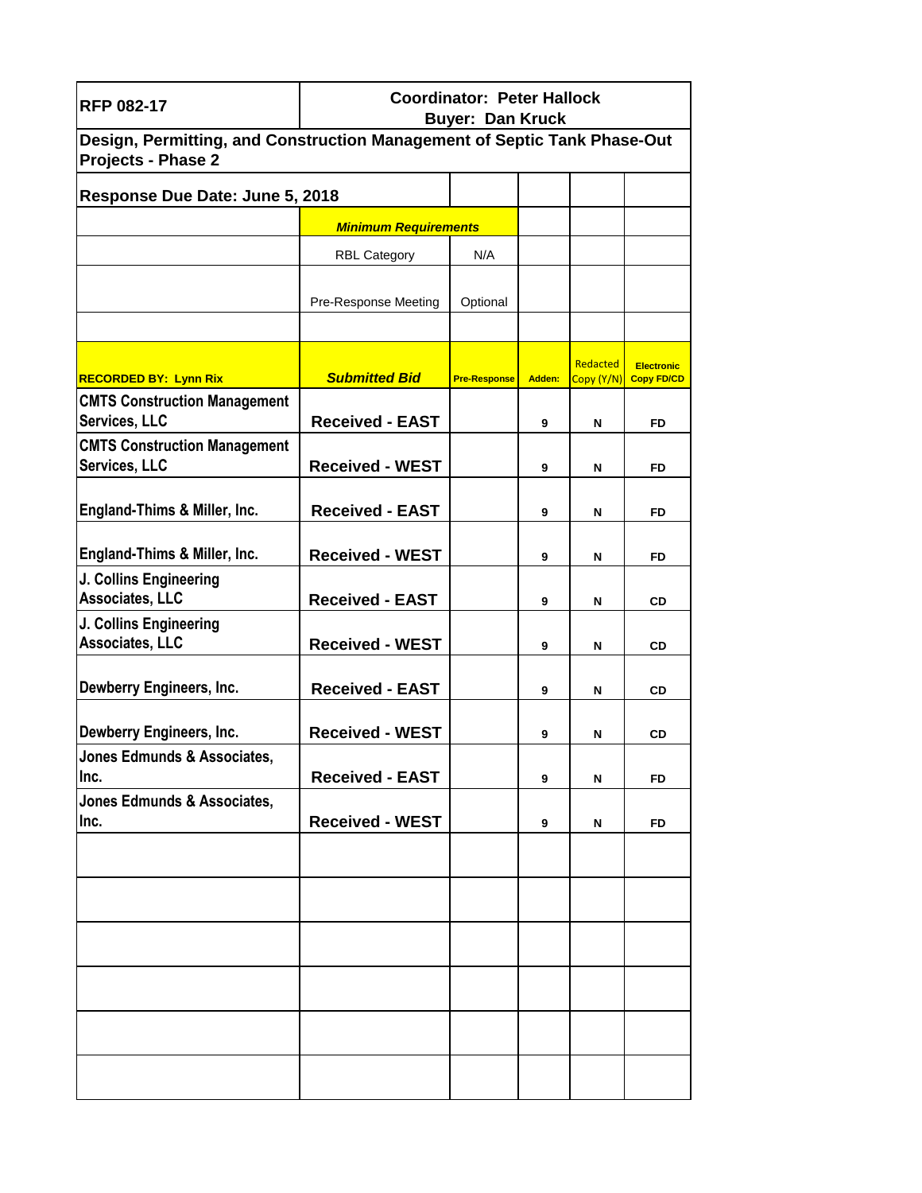| <b>RFP 082-17</b>                                                                                     | <b>Coordinator: Peter Hallock</b><br><b>Buyer: Dan Kruck</b> |                     |        |                        |                                        |
|-------------------------------------------------------------------------------------------------------|--------------------------------------------------------------|---------------------|--------|------------------------|----------------------------------------|
| Design, Permitting, and Construction Management of Septic Tank Phase-Out<br><b>Projects - Phase 2</b> |                                                              |                     |        |                        |                                        |
| Response Due Date: June 5, 2018                                                                       |                                                              |                     |        |                        |                                        |
|                                                                                                       | <b>Minimum Requirements</b>                                  |                     |        |                        |                                        |
|                                                                                                       | <b>RBL Category</b>                                          | N/A                 |        |                        |                                        |
|                                                                                                       |                                                              |                     |        |                        |                                        |
|                                                                                                       | Pre-Response Meeting                                         | Optional            |        |                        |                                        |
|                                                                                                       |                                                              |                     |        |                        |                                        |
| <b>RECORDED BY: Lynn Rix</b>                                                                          | <b>Submitted Bid</b>                                         | <b>Pre-Response</b> | Adden: | Redacted<br>Copy (Y/N) | <b>Electronic</b><br><b>Copy FD/CD</b> |
| <b>CMTS Construction Management</b><br><b>Services, LLC</b>                                           | <b>Received - EAST</b>                                       |                     | 9      | N                      | FD                                     |
| <b>CMTS Construction Management</b><br>Services, LLC                                                  | <b>Received - WEST</b>                                       |                     | 9      | N                      | FD                                     |
| <b>England-Thims &amp; Miller, Inc.</b>                                                               | <b>Received - EAST</b>                                       |                     | 9      | N                      | FD                                     |
| <b>England-Thims &amp; Miller, Inc.</b>                                                               | <b>Received - WEST</b>                                       |                     | 9      | N                      | FD                                     |
| J. Collins Engineering<br>Associates, LLC                                                             | <b>Received - EAST</b>                                       |                     | 9      | N                      | CD                                     |
| J. Collins Engineering                                                                                |                                                              |                     |        |                        |                                        |
| <b>Associates, LLC</b>                                                                                | <b>Received - WEST</b>                                       |                     | 9      | N                      | CD                                     |
| Dewberry Engineers, Inc.                                                                              | <b>Received - EAST</b>                                       |                     | 9      | N                      | <b>CD</b>                              |
| Dewberry Engineers, Inc.                                                                              | <b>Received - WEST</b>                                       |                     | 9      | N                      | CD                                     |
| Jones Edmunds & Associates,<br>Inc.                                                                   | <b>Received - EAST</b>                                       |                     | 9      | N                      | FD                                     |
| Jones Edmunds & Associates,<br>Inc.                                                                   | <b>Received - WEST</b>                                       |                     | 9      | N                      | <b>FD</b>                              |
|                                                                                                       |                                                              |                     |        |                        |                                        |
|                                                                                                       |                                                              |                     |        |                        |                                        |
|                                                                                                       |                                                              |                     |        |                        |                                        |
|                                                                                                       |                                                              |                     |        |                        |                                        |
|                                                                                                       |                                                              |                     |        |                        |                                        |
|                                                                                                       |                                                              |                     |        |                        |                                        |
|                                                                                                       |                                                              |                     |        |                        |                                        |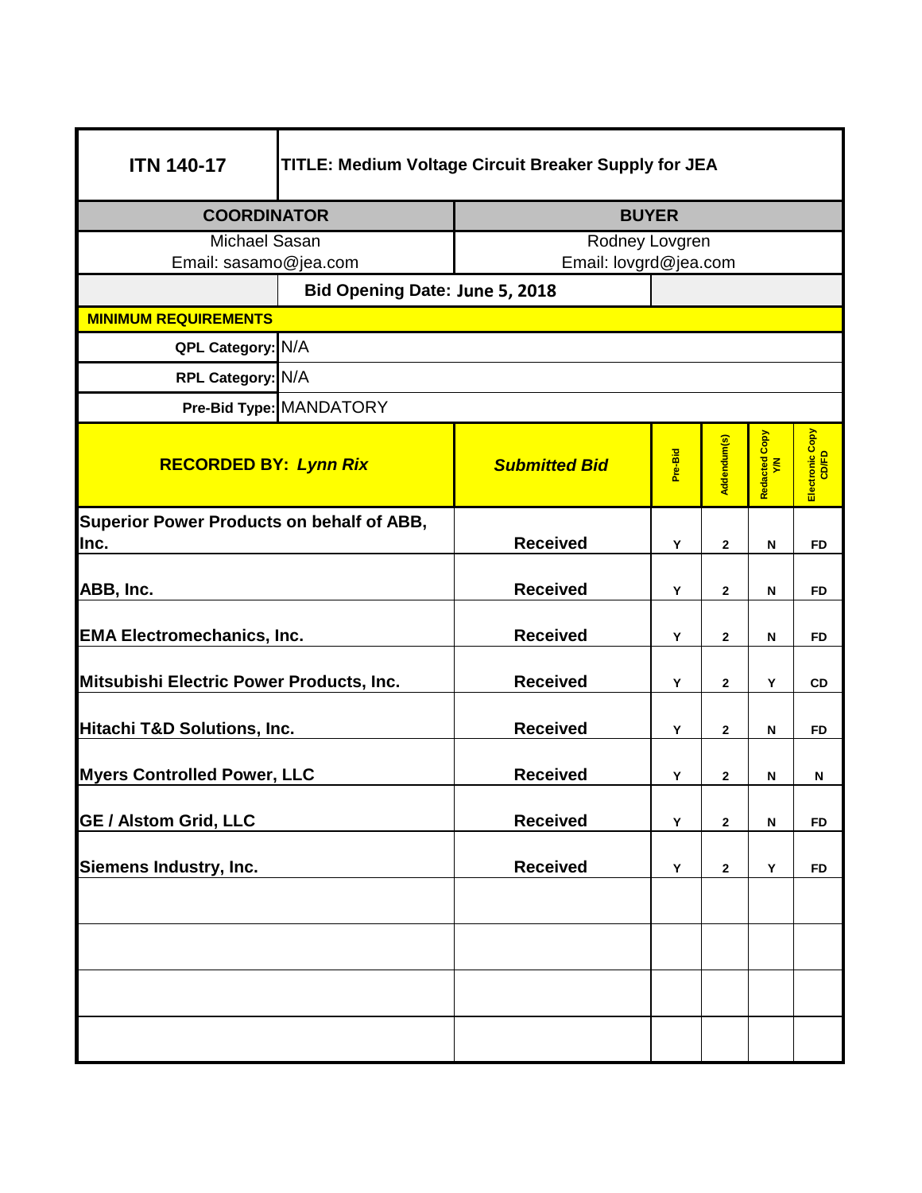| <b>ITN 140-17</b>                                        | TITLE: Medium Voltage Circuit Breaker Supply for JEA  |                      |                       |              |                      |                          |  |
|----------------------------------------------------------|-------------------------------------------------------|----------------------|-----------------------|--------------|----------------------|--------------------------|--|
| <b>COORDINATOR</b>                                       |                                                       |                      | <b>BUYER</b>          |              |                      |                          |  |
| Michael Sasan                                            |                                                       |                      | Rodney Lovgren        |              |                      |                          |  |
| Email: sasamo@jea.com                                    |                                                       |                      | Email: lovgrd@jea.com |              |                      |                          |  |
|                                                          | Bid Opening Date: June 5, 2018                        |                      |                       |              |                      |                          |  |
| <b>MINIMUM REQUIREMENTS</b>                              |                                                       |                      |                       |              |                      |                          |  |
| QPL Category: N/A                                        |                                                       |                      |                       |              |                      |                          |  |
| RPL Category: N/A                                        |                                                       |                      |                       |              |                      |                          |  |
|                                                          | Pre-Bid Type: MANDATORY                               |                      |                       |              |                      |                          |  |
| <b>RECORDED BY: Lynn Rix</b>                             |                                                       | <b>Submitted Bid</b> | Pre-Bid               | Addendum(s)  | Redacted Copy<br>Y/N | Electronic Copy<br>CD/FD |  |
| <b>Superior Power Products on behalf of ABB,</b><br>Inc. |                                                       | <b>Received</b>      | Y                     | $\mathbf{2}$ | ${\sf N}$            | <b>FD</b>                |  |
| ABB, Inc.                                                |                                                       | <b>Received</b>      | Y                     | $\mathbf{2}$ | N                    | <b>FD</b>                |  |
| <b>EMA Electromechanics, Inc.</b>                        |                                                       | <b>Received</b>      | Y                     | $\mathbf{2}$ | N                    | <b>FD</b>                |  |
| Mitsubishi Electric Power Products, Inc.                 |                                                       | <b>Received</b>      | Y                     | $\mathbf{2}$ | Υ                    | CD                       |  |
| Hitachi T&D Solutions, Inc.                              |                                                       | <b>Received</b>      | Y                     | $\mathbf{2}$ | N                    | <b>FD</b>                |  |
|                                                          | <b>Myers Controlled Power, LLC</b><br><b>Received</b> |                      | Υ                     | $\mathbf{2}$ | N                    | N                        |  |
| <b>GE / Alstom Grid, LLC</b>                             |                                                       | <b>Received</b>      | Υ                     | $\mathbf{2}$ | N                    | <b>FD</b>                |  |
| Siemens Industry, Inc.                                   |                                                       | <b>Received</b>      | Y                     | $\mathbf{2}$ | Y                    | <b>FD</b>                |  |
|                                                          |                                                       |                      |                       |              |                      |                          |  |
|                                                          |                                                       |                      |                       |              |                      |                          |  |
|                                                          |                                                       |                      |                       |              |                      |                          |  |
|                                                          |                                                       |                      |                       |              |                      |                          |  |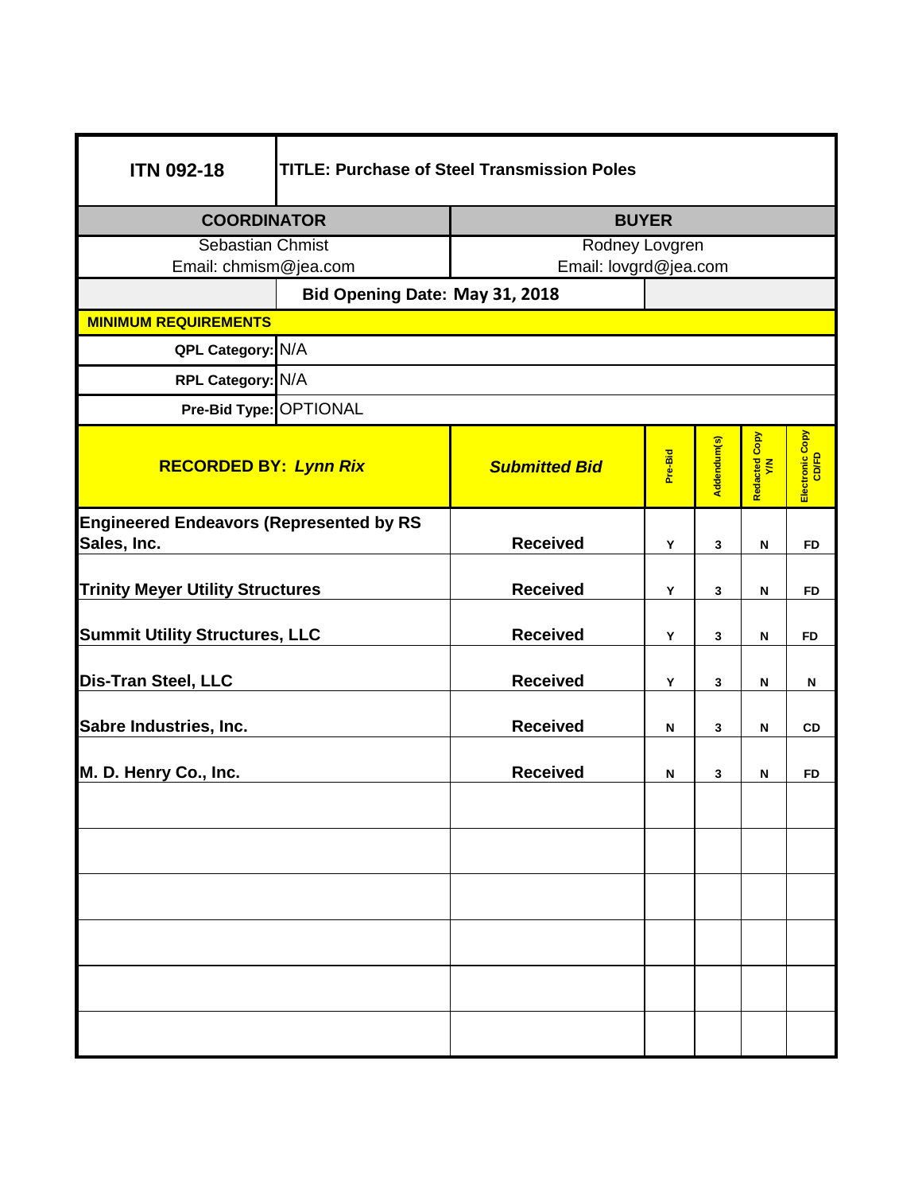| <b>ITN 092-18</b>                              | <b>TITLE: Purchase of Steel Transmission Poles</b> |                                |         |             |                      |                          |  |  |
|------------------------------------------------|----------------------------------------------------|--------------------------------|---------|-------------|----------------------|--------------------------|--|--|
| <b>COORDINATOR</b>                             |                                                    | <b>BUYER</b>                   |         |             |                      |                          |  |  |
| Sebastian Chmist                               |                                                    | Rodney Lovgren                 |         |             |                      |                          |  |  |
| Email: chmism@jea.com                          |                                                    | Email: lovgrd@jea.com          |         |             |                      |                          |  |  |
|                                                |                                                    | Bid Opening Date: May 31, 2018 |         |             |                      |                          |  |  |
| <b>MINIMUM REQUIREMENTS</b>                    |                                                    |                                |         |             |                      |                          |  |  |
| QPL Category: N/A                              |                                                    |                                |         |             |                      |                          |  |  |
| RPL Category: N/A                              |                                                    |                                |         |             |                      |                          |  |  |
| Pre-Bid Type: OPTIONAL                         |                                                    |                                |         |             |                      |                          |  |  |
| <b>RECORDED BY: Lynn Rix</b>                   |                                                    | <b>Submitted Bid</b>           | Pre-Bid | Addendum(s) | Redacted Copy<br>Y/N | Electronic Copy<br>CD/FD |  |  |
| <b>Engineered Endeavors (Represented by RS</b> |                                                    |                                |         |             |                      |                          |  |  |
| Sales, Inc.                                    |                                                    | <b>Received</b>                | Y       | 3           | ${\sf N}$            | <b>FD</b>                |  |  |
| <b>Trinity Meyer Utility Structures</b>        |                                                    | <b>Received</b>                | Y       | 3           | N                    | FD                       |  |  |
| <b>Summit Utility Structures, LLC</b>          |                                                    | <b>Received</b>                | Y       | 3           | N                    | <b>FD</b>                |  |  |
| <b>Dis-Tran Steel, LLC</b>                     |                                                    | <b>Received</b>                | Y       | 3           | N                    | N                        |  |  |
| Sabre Industries, Inc.                         |                                                    | <b>Received</b>                | N       | 3           | N                    | CD                       |  |  |
| M. D. Henry Co., Inc.                          |                                                    | <b>Received</b>                | N       | 3           | N                    | FD                       |  |  |
|                                                |                                                    |                                |         |             |                      |                          |  |  |
|                                                |                                                    |                                |         |             |                      |                          |  |  |
|                                                |                                                    |                                |         |             |                      |                          |  |  |
|                                                |                                                    |                                |         |             |                      |                          |  |  |
|                                                |                                                    |                                |         |             |                      |                          |  |  |
|                                                |                                                    |                                |         |             |                      |                          |  |  |